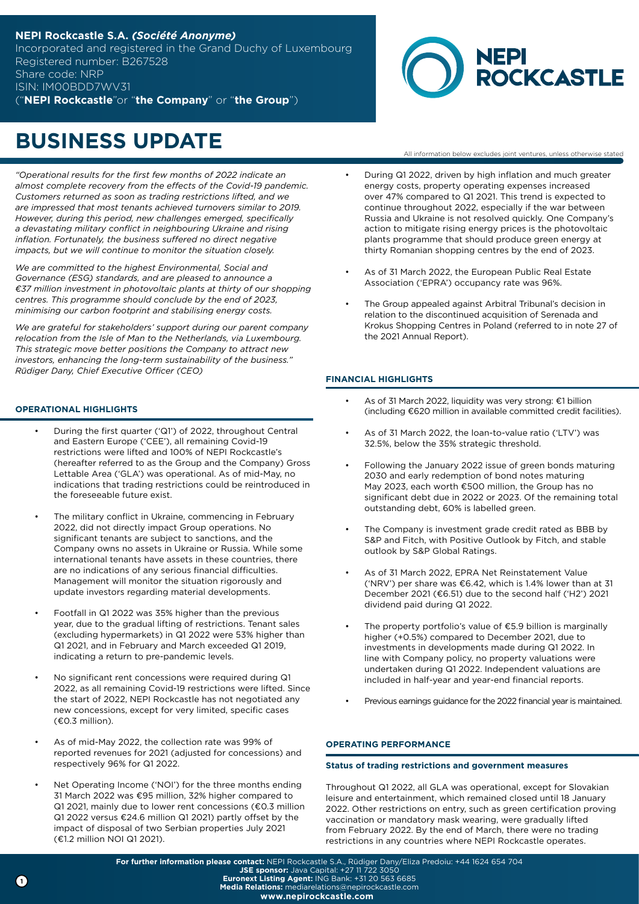## **NEPI Rockcastle S.A.** *(Société Anonyme)* Incorporated and registered in the Grand Duchy of Luxembourg Registered number: B267528 Share code: NRP ISIN: IM00BDD7WV31

("**NEPI Rockcastle**"or "**the Company**" or "**the Group**")



All information below excludes joint ventures, unless otherwise stated

# **BUSINESS UPDATE**

*"Operational results for the first few months of 2022 indicate an almost complete recovery from the effects of the Covid-19 pandemic. Customers returned as soon as trading restrictions lifted, and we are impressed that most tenants achieved turnovers similar to 2019. However, during this period, new challenges emerged, specifically a devastating military conflict in neighbouring Ukraine and rising inflation. Fortunately, the business suffered no direct negative impacts, but we will continue to monitor the situation closely.*

*We are committed to the highest Environmental, Social and Governance (ESG) standards, and are pleased to announce a €37 million investment in photovoltaic plants at thirty of our shopping centres. This programme should conclude by the end of 2023, minimising our carbon footprint and stabilising energy costs.*

*We are grateful for stakeholders' support during our parent company relocation from the Isle of Man to the Netherlands, via Luxembourg. This strategic move better positions the Company to attract new investors, enhancing the long-term sustainability of the business." Rüdiger Dany, Chief Executive Officer (CEO)*

### **OPERATIONAL HIGHLIGHTS**

- During the first quarter ('Q1') of 2022, throughout Central and Eastern Europe ('CEE'), all remaining Covid-19 restrictions were lifted and 100% of NEPI Rockcastle's (hereafter referred to as the Group and the Company) Gross Lettable Area ('GLA') was operational. As of mid-May, no indications that trading restrictions could be reintroduced in the foreseeable future exist.
- The military conflict in Ukraine, commencing in February 2022, did not directly impact Group operations. No significant tenants are subject to sanctions, and the Company owns no assets in Ukraine or Russia. While some international tenants have assets in these countries, there are no indications of any serious financial difficulties. Management will monitor the situation rigorously and update investors regarding material developments.
- Footfall in Q1 2022 was 35% higher than the previous year, due to the gradual lifting of restrictions. Tenant sales (excluding hypermarkets) in Q1 2022 were 53% higher than Q1 2021, and in February and March exceeded Q1 2019, indicating a return to pre-pandemic levels.
- No significant rent concessions were required during Q1 2022, as all remaining Covid-19 restrictions were lifted. Since the start of 2022, NEPI Rockcastle has not negotiated any new concessions, except for very limited, specific cases (€0.3 million).
- As of mid-May 2022, the collection rate was 99% of reported revenues for 2021 (adjusted for concessions) and respectively 96% for Q1 2022.
- Net Operating Income ('NOI') for the three months ending 31 March 2022 was €95 million, 32% higher compared to Q1 2021, mainly due to lower rent concessions (€0.3 million Q1 2022 versus €24.6 million Q1 2021) partly offset by the impact of disposal of two Serbian properties July 2021 (€1.2 million NOI Q1 2021).
- During Q1 2022, driven by high inflation and much greater energy costs, property operating expenses increased over 47% compared to Q1 2021. This trend is expected to continue throughout 2022, especially if the war between Russia and Ukraine is not resolved quickly. One Company's
- action to mitigate rising energy prices is the photovoltaic plants programme that should produce green energy at thirty Romanian shopping centres by the end of 2023.
- As of 31 March 2022, the European Public Real Estate Association ('EPRA') occupancy rate was 96%.
- The Group appealed against Arbitral Tribunal's decision in relation to the discontinued acquisition of Serenada and Krokus Shopping Centres in Poland (referred to in note 27 of the 2021 Annual Report).

## **FINANCIAL HIGHLIGHTS**

- As of 31 March 2022, liquidity was very strong: €1 billion (including €620 million in available committed credit facilities).
- As of 31 March 2022, the loan-to-value ratio ('LTV') was 32.5%, below the 35% strategic threshold.
- Following the January 2022 issue of green bonds maturing 2030 and early redemption of bond notes maturing May 2023, each worth €500 million, the Group has no significant debt due in 2022 or 2023. Of the remaining total outstanding debt, 60% is labelled green.
- The Company is investment grade credit rated as BBB by S&P and Fitch, with Positive Outlook by Fitch, and stable outlook by S&P Global Ratings.
- As of 31 March 2022, EPRA Net Reinstatement Value ('NRV') per share was €6.42, which is 1.4% lower than at 31 December 2021 (€6.51) due to the second half ('H2') 2021 dividend paid during Q1 2022.
- The property portfolio's value of  $$5.9$  billion is marginally higher (+0.5%) compared to December 2021, due to investments in developments made during Q1 2022. In line with Company policy, no property valuations were undertaken during Q1 2022. Independent valuations are included in half-year and year-end financial reports.
- Previous earnings guidance for the 2022 financial year is maintained.

### **OPERATING PERFORMANCE**

### **Status of trading restrictions and government measures**

Throughout Q1 2022, all GLA was operational, except for Slovakian leisure and entertainment, which remained closed until 18 January 2022. Other restrictions on entry, such as green certification proving vaccination or mandatory mask wearing, were gradually lifted from February 2022. By the end of March, there were no trading restrictions in any countries where NEPI Rockcastle operates.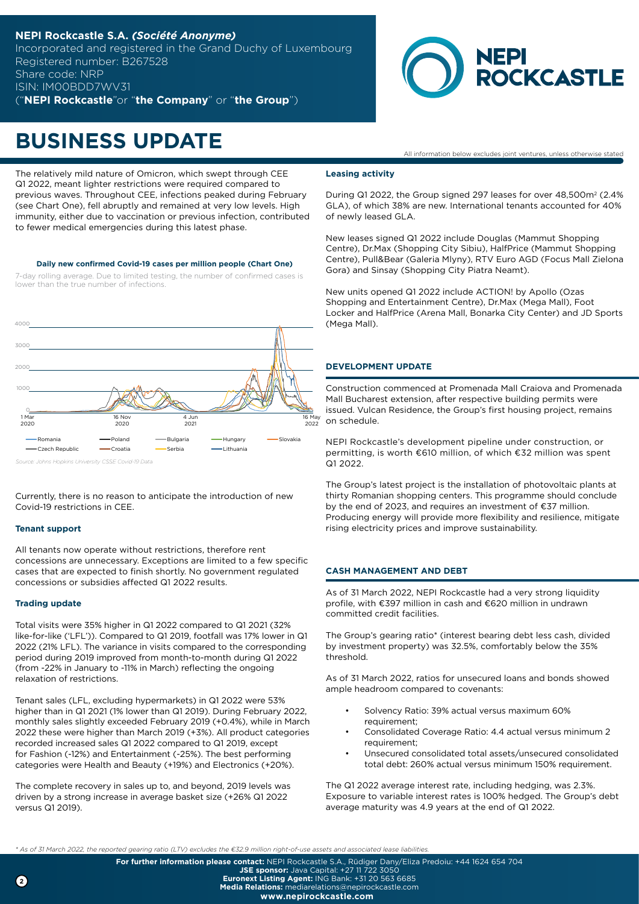## **NEPI Rockcastle S.A.** *(Société Anonyme)* Incorporated and registered in the Grand Duchy of Luxembourg Registered number: B267528 Share code: NRP ISIN: IM00BDD7WV31

("**NEPI Rockcastle**"or "**the Company**" or "**the Group**")



## **BUSINESS UPDATE**

The relatively mild nature of Omicron, which swept through CEE Q1 2022, meant lighter restrictions were required compared to previous waves. Throughout CEE, infections peaked during February (see Chart One), fell abruptly and remained at very low levels. High immunity, either due to vaccination or previous infection, contributed to fewer medical emergencies during this latest phase.

#### **Daily new confirmed Covid-19 cases per million people (Chart One)**

7-day rolling average. Due to limited testing, the number of confirmed cases is lower than the true number of infections.



*Source: Johns Hopkins University CSSE Covid-19 Data*

Currently, there is no reason to anticipate the introduction of new Covid-19 restrictions in CEE.

### **Tenant support**

All tenants now operate without restrictions, therefore rent concessions are unnecessary. Exceptions are limited to a few specific cases that are expected to finish shortly. No government regulated concessions or subsidies affected Q1 2022 results.

### **Trading update**

Total visits were 35% higher in Q1 2022 compared to Q1 2021 (32% like-for-like ('LFL')). Compared to Q1 2019, footfall was 17% lower in Q1 2022 (21% LFL). The variance in visits compared to the corresponding period during 2019 improved from month-to-month during Q1 2022 (from -22% in January to -11% in March) reflecting the ongoing relaxation of restrictions.

Tenant sales (LFL, excluding hypermarkets) in Q1 2022 were 53% higher than in Q1 2021 (1% lower than Q1 2019). During February 2022, monthly sales slightly exceeded February 2019 (+0.4%), while in March 2022 these were higher than March 2019 (+3%). All product categories recorded increased sales Q1 2022 compared to Q1 2019, except for Fashion (-12%) and Entertainment (-25%). The best performing categories were Health and Beauty (+19%) and Electronics (+20%).

The complete recovery in sales up to, and beyond, 2019 levels was driven by a strong increase in average basket size (+26% Q1 2022 versus Q1 2019).

#### All information below excludes joint ventures, unless otherwise stated

#### **Leasing activity**

During Q1 2022, the Group signed 297 leases for over 48,500m<sup>2</sup> (2.4%) GLA), of which 38% are new. International tenants accounted for 40% of newly leased GLA.

New leases signed Q1 2022 include Douglas (Mammut Shopping Centre), Dr.Max (Shopping City Sibiu), HalfPrice (Mammut Shopping Centre), Pull&Bear (Galeria Mlyny), RTV Euro AGD (Focus Mall Zielona Gora) and Sinsay (Shopping City Piatra Neamt).

New units opened Q1 2022 include ACTION! by Apollo (Ozas Shopping and Entertainment Centre), Dr.Max (Mega Mall), Foot Locker and HalfPrice (Arena Mall, Bonarka City Center) and JD Sports (Mega Mall).

#### **DEVELOPMENT UPDATE**

Construction commenced at Promenada Mall Craiova and Promenada Mall Bucharest extension, after respective building permits were issued. Vulcan Residence, the Group's first housing project, remains on schedule.

NEPI Rockcastle's development pipeline under construction, or permitting, is worth €610 million, of which €32 million was spent Q1 2022.

The Group's latest project is the installation of photovoltaic plants at thirty Romanian shopping centers. This programme should conclude by the end of 2023, and requires an investment of €37 million. Producing energy will provide more flexibility and resilience, mitigate rising electricity prices and improve sustainability.

## **CASH MANAGEMENT AND DEBT**

As of 31 March 2022, NEPI Rockcastle had a very strong liquidity profile, with €397 million in cash and €620 million in undrawn committed credit facilities.

The Group's gearing ratio\* (interest bearing debt less cash, divided by investment property) was 32.5%, comfortably below the 35% threshold.

As of 31 March 2022, ratios for unsecured loans and bonds showed ample headroom compared to covenants:

- Solvency Ratio: 39% actual versus maximum 60% requirement;
- Consolidated Coverage Ratio: 4.4 actual versus minimum 2 requirement;
- Unsecured consolidated total assets/unsecured consolidated total debt: 260% actual versus minimum 150% requirement.

The Q1 2022 average interest rate, including hedging, was 2.3%. Exposure to variable interest rates is 100% hedged. The Group's debt average maturity was 4.9 years at the end of Q1 2022.

*\* As of 31 March 2022, the reported gearing ratio (LTV) excludes the €32.9 million right-of-use assets and associated lease liabilities.*

**For further information please contact:** NEPI Rockcastle S.A., Rüdiger Dany/Eliza Predoiu: +44 1624 654 704 **JSE sponsor:** Java Capital: +27 11 722 3050

**Euronext Listing Agent:** ING Bank: +31 20 563 6685

**Media Relations:** mediarelations@nepirockcastle.com **www.nepirockcastle.com**